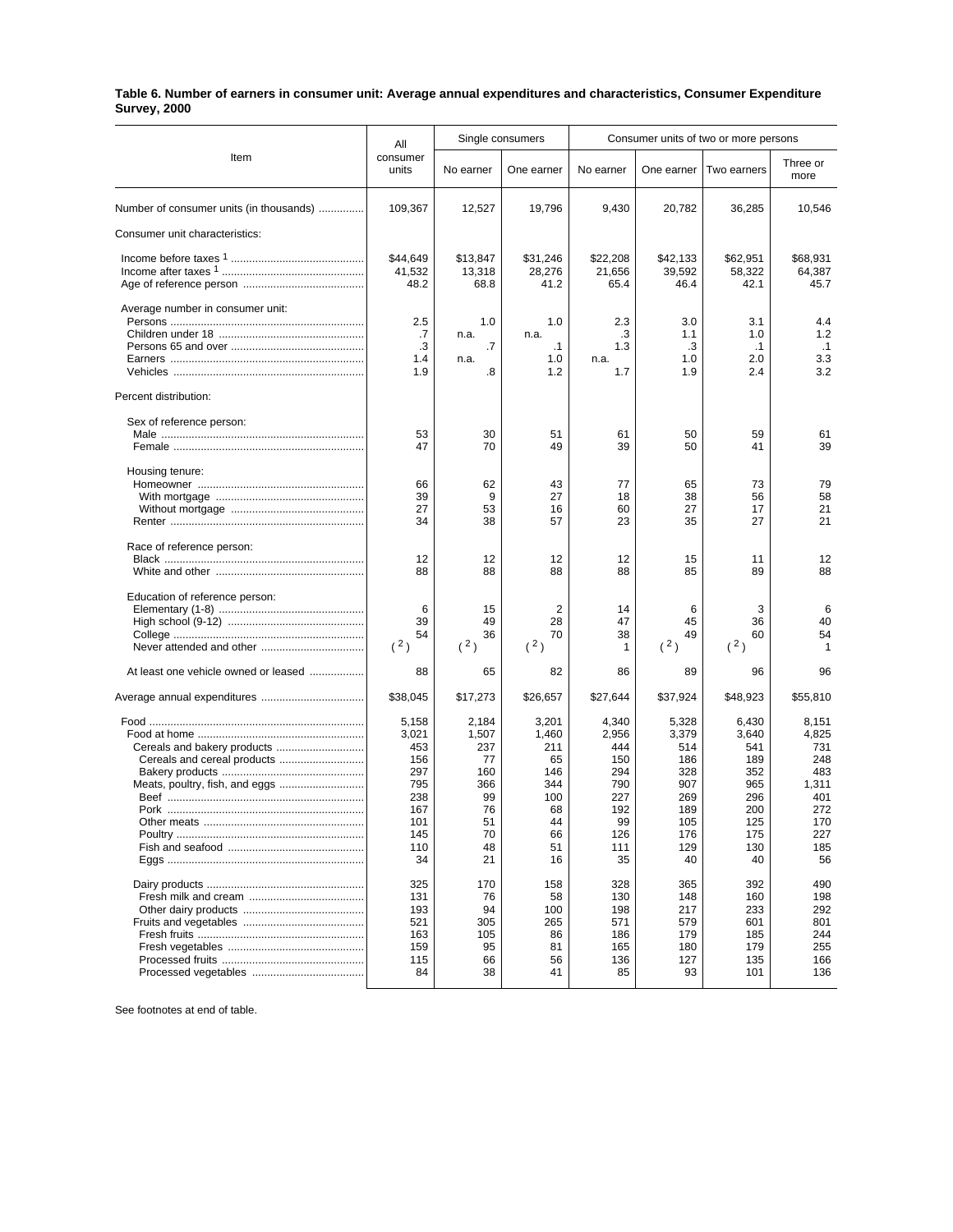## **Table 6. Number of earners in consumer unit: Average annual expenditures and characteristics, Consumer Expenditure Survey, 2000**

| Item                                                          | All                                                                                 | Single consumers                                                              |                                                                                | Consumer units of two or more persons                                              |                                                                                     |                                                                                     |                                                                                       |
|---------------------------------------------------------------|-------------------------------------------------------------------------------------|-------------------------------------------------------------------------------|--------------------------------------------------------------------------------|------------------------------------------------------------------------------------|-------------------------------------------------------------------------------------|-------------------------------------------------------------------------------------|---------------------------------------------------------------------------------------|
|                                                               | consumer<br>units                                                                   | No earner                                                                     | One earner                                                                     | No earner                                                                          | One earner                                                                          | Two earners                                                                         | Three or<br>more                                                                      |
| Number of consumer units (in thousands)                       | 109,367                                                                             | 12,527                                                                        | 19,796                                                                         | 9,430                                                                              | 20,782                                                                              | 36,285                                                                              | 10,546                                                                                |
| Consumer unit characteristics:                                |                                                                                     |                                                                               |                                                                                |                                                                                    |                                                                                     |                                                                                     |                                                                                       |
|                                                               | \$44,649<br>41,532<br>48.2                                                          | \$13,847<br>13,318<br>68.8                                                    | \$31,246<br>28,276<br>41.2                                                     | \$22,208<br>21,656<br>65.4                                                         | \$42,133<br>39,592<br>46.4                                                          | \$62,951<br>58,322<br>42.1                                                          | \$68,931<br>64,387<br>45.7                                                            |
| Average number in consumer unit:                              | 2.5<br>.7<br>.3<br>1.4<br>1.9                                                       | 1.0<br>n.a.<br>$\cdot$ 7<br>n.a.<br>.8                                        | 1.0<br>n.a.<br>$\cdot$ 1<br>1.0<br>1.2                                         | 2.3<br>.3<br>1.3<br>n.a.<br>1.7                                                    | 3.0<br>1.1<br>.3<br>1.0<br>1.9                                                      | 3.1<br>1.0<br>$\cdot$ 1<br>2.0<br>2.4                                               | 4.4<br>1.2<br>$\cdot$ 1<br>3.3<br>3.2                                                 |
| Percent distribution:                                         |                                                                                     |                                                                               |                                                                                |                                                                                    |                                                                                     |                                                                                     |                                                                                       |
| Sex of reference person:                                      | 53<br>47                                                                            | 30<br>70                                                                      | 51<br>49                                                                       | 61<br>39                                                                           | 50<br>50                                                                            | 59<br>41                                                                            | 61<br>39                                                                              |
| Housing tenure:                                               | 66<br>39<br>27<br>34                                                                | 62<br>9<br>53<br>38                                                           | 43<br>27<br>16<br>57                                                           | 77<br>18<br>60<br>23                                                               | 65<br>38<br>27<br>35                                                                | 73<br>56<br>17<br>27                                                                | 79<br>58<br>21<br>21                                                                  |
| Race of reference person:                                     | 12<br>88                                                                            | 12<br>88                                                                      | 12<br>88                                                                       | 12<br>88                                                                           | 15<br>85                                                                            | 11<br>89                                                                            | 12<br>88                                                                              |
| Education of reference person:                                | 6<br>39<br>54<br>(2)                                                                | 15<br>49<br>36<br>(2)                                                         | 2<br>28<br>70<br>(2)                                                           | 14<br>47<br>38<br>1                                                                | 6<br>45<br>49<br>(2)                                                                | 3<br>36<br>60<br>(2)                                                                | 6<br>40<br>54<br>1                                                                    |
| At least one vehicle owned or leased                          | 88                                                                                  | 65                                                                            | 82                                                                             | 86                                                                                 | 89                                                                                  | 96                                                                                  | 96                                                                                    |
|                                                               | \$38,045                                                                            | \$17,273                                                                      | \$26,657                                                                       | \$27,644                                                                           | \$37,924                                                                            | \$48,923                                                                            | \$55,810                                                                              |
| Cereals and cereal products<br>Meats, poultry, fish, and eggs | 5,158<br>3,021<br>453<br>156<br>297<br>795<br>238<br>167<br>101<br>145<br>110<br>34 | 2,184<br>1,507<br>237<br>77<br>160<br>366<br>99<br>76<br>51<br>70<br>48<br>21 | 3,201<br>1,460<br>211<br>65<br>146<br>344<br>100<br>68<br>44<br>66<br>51<br>16 | 4,340<br>2,956<br>444<br>150<br>294<br>790<br>227<br>192<br>99<br>126<br>111<br>35 | 5,328<br>3,379<br>514<br>186<br>328<br>907<br>269<br>189<br>105<br>176<br>129<br>40 | 6,430<br>3,640<br>541<br>189<br>352<br>965<br>296<br>200<br>125<br>175<br>130<br>40 | 8,151<br>4,825<br>731<br>248<br>483<br>1,311<br>401<br>272<br>170<br>227<br>185<br>56 |
|                                                               | 325<br>131<br>193<br>521<br>163<br>159<br>115<br>84                                 | 170<br>76<br>94<br>305<br>105<br>95<br>66<br>38                               | 158<br>58<br>100<br>265<br>86<br>81<br>56<br>41                                | 328<br>130<br>198<br>571<br>186<br>165<br>136<br>85                                | 365<br>148<br>217<br>579<br>179<br>180<br>127<br>93                                 | 392<br>160<br>233<br>601<br>185<br>179<br>135<br>101                                | 490<br>198<br>292<br>801<br>244<br>255<br>166<br>136                                  |

See footnotes at end of table.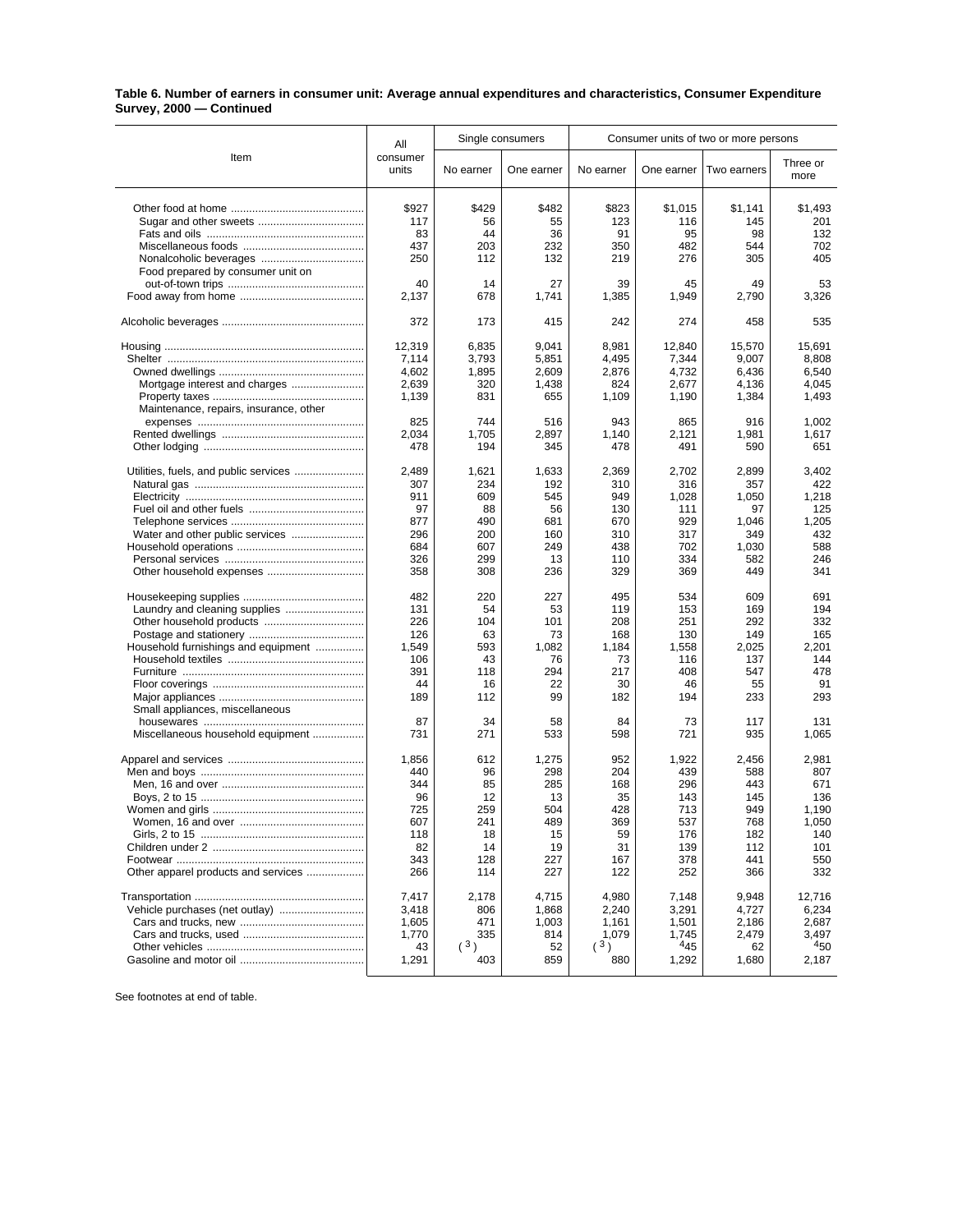## **Table 6. Number of earners in consumer unit: Average annual expenditures and characteristics, Consumer Expenditure Survey, 2000 — Continued**

|                                        | Single consumers<br>All |           | Consumer units of two or more persons |             |             |             |                  |
|----------------------------------------|-------------------------|-----------|---------------------------------------|-------------|-------------|-------------|------------------|
| Item                                   | consumer<br>units       | No earner | One earner                            | No earner   | One earner  | Two earners | Three or<br>more |
|                                        | \$927                   | \$429     | \$482                                 | \$823       | \$1,015     | \$1,141     | \$1,493          |
|                                        | 117                     | 56        | 55                                    | 123         | 116         | 145         | 201              |
|                                        | 83                      | 44        | 36                                    | 91          | 95          | 98          | 132              |
|                                        | 437                     | 203       | 232                                   | 350         | 482         | 544         | 702              |
|                                        | 250                     | 112       | 132                                   | 219         | 276         | 305         | 405              |
|                                        |                         |           |                                       |             |             |             |                  |
| Food prepared by consumer unit on      |                         |           |                                       |             |             |             |                  |
|                                        | 40<br>2,137             | 14<br>678 | 27<br>1,741                           | 39<br>1,385 | 45<br>1,949 | 49<br>2,790 | 53<br>3,326      |
|                                        | 372                     | 173       | 415                                   | 242         | 274         | 458         | 535              |
|                                        | 12,319                  | 6,835     | 9,041                                 | 8,981       | 12,840      | 15,570      | 15,691           |
|                                        | 7,114                   | 3,793     | 5,851                                 | 4,495       | 7,344       | 9,007       | 8,808            |
|                                        | 4,602                   | 1,895     | 2,609                                 | 2,876       | 4,732       | 6,436       | 6,540            |
| Mortgage interest and charges          | 2,639                   | 320       | 1,438                                 | 824         | 2,677       | 4,136       | 4,045            |
|                                        | 1,139                   | 831       | 655                                   | 1,109       | 1,190       | 1,384       | 1,493            |
| Maintenance, repairs, insurance, other |                         |           |                                       |             |             |             |                  |
|                                        | 825                     | 744       | 516                                   | 943         | 865         | 916         | 1,002            |
|                                        | 2,034                   | 1,705     | 2,897                                 | 1.140       | 2,121       | 1,981       | 1,617            |
|                                        | 478                     | 194       | 345                                   | 478         | 491         | 590         | 651              |
| Utilities, fuels, and public services  | 2,489                   | 1,621     | 1,633                                 | 2,369       | 2,702       | 2,899       | 3,402            |
|                                        | 307                     | 234       | 192                                   | 310         | 316         | 357         | 422              |
|                                        | 911                     | 609       | 545                                   | 949         | 1,028       | 1.050       | 1,218            |
|                                        | 97                      | 88        | 56                                    | 130         | 111         | 97          | 125              |
|                                        | 877                     | 490       | 681                                   | 670         | 929         | 1.046       | 1,205            |
|                                        | 296                     | 200       | 160                                   | 310         | 317         | 349         | 432              |
|                                        | 684                     | 607       | 249                                   | 438         | 702         | 1,030       | 588              |
|                                        | 326                     | 299       | 13                                    | 110         | 334         | 582         | 246              |
|                                        | 358                     | 308       | 236                                   | 329         | 369         | 449         | 341              |
|                                        | 482                     | 220       | 227                                   | 495         | 534         | 609         | 691              |
|                                        | 131                     | 54        | 53                                    | 119         | 153         | 169         | 194              |
|                                        | 226                     | 104       | 101                                   | 208         | 251         | 292         | 332              |
|                                        | 126                     | 63        | 73                                    | 168         | 130         | 149         | 165              |
| Household furnishings and equipment    | 1,549                   | 593       | 1,082                                 | 1,184       | 1,558       | 2,025       | 2,201            |
|                                        | 106                     | 43        | 76                                    | 73          | 116         | 137         | 144              |
|                                        | 391                     | 118       | 294                                   | 217         | 408         | 547         | 478              |
|                                        | 44                      | 16        | 22                                    | 30          | 46          | 55          | 91               |
|                                        | 189                     | 112       | 99                                    | 182         | 194         | 233         | 293              |
| Small appliances, miscellaneous        |                         |           |                                       |             |             |             |                  |
|                                        | 87                      | 34        | 58                                    | 84          | 73          | 117         | 131              |
| Miscellaneous household equipment      | 731                     | 271       | 533                                   | 598         | 721         | 935         | 1.065            |
|                                        | 1,856                   | 612       | 1,275                                 | 952         | 1,922       | 2,456       | 2,981            |
|                                        | 440                     | 96        | 298                                   | 204         | 439         | 588         | 807              |
|                                        | 344                     | 85        | 285                                   | 168         | 296         | 443         | 671              |
|                                        | 96                      | 12        |                                       | 35          |             |             | 136              |
|                                        |                         |           | 13                                    |             | 143         | 145         |                  |
|                                        | 725                     | 259       | 504                                   | 428         | 713         | 949         | 1,190            |
|                                        | 607                     | 241       | 489                                   | 369         | 537         | 768         | 1,050            |
|                                        | 118                     | 18        | 15                                    | 59          | 176         | 182         | 140              |
|                                        | 82                      | 14        | 19                                    | 31          | 139         | 112         | 101              |
|                                        | 343                     | 128       | 227                                   | 167         | 378         | 441         | 550              |
| Other apparel products and services    | 266                     | 114       | 227                                   | 122         | 252         | 366         | 332              |
|                                        | 7,417                   | 2,178     | 4.715                                 | 4,980       | 7,148       | 9.948       | 12,716           |
|                                        | 3,418                   | 806       | 1,868                                 | 2,240       | 3,291       | 4,727       | 6,234            |
|                                        | 1,605                   | 471       | 1,003                                 | 1,161       | 1,501       | 2,186       | 2,687            |
|                                        | 1,770                   | 335       | 814                                   | 1,079       | 1,745       | 2,479       | 3,497            |
|                                        | 43                      | (3)       | 52                                    | (3)         | 445         | 62          | 450              |
|                                        | 1,291                   | 403       | 859                                   | 880         | 1,292       | 1,680       | 2,187            |

See footnotes at end of table.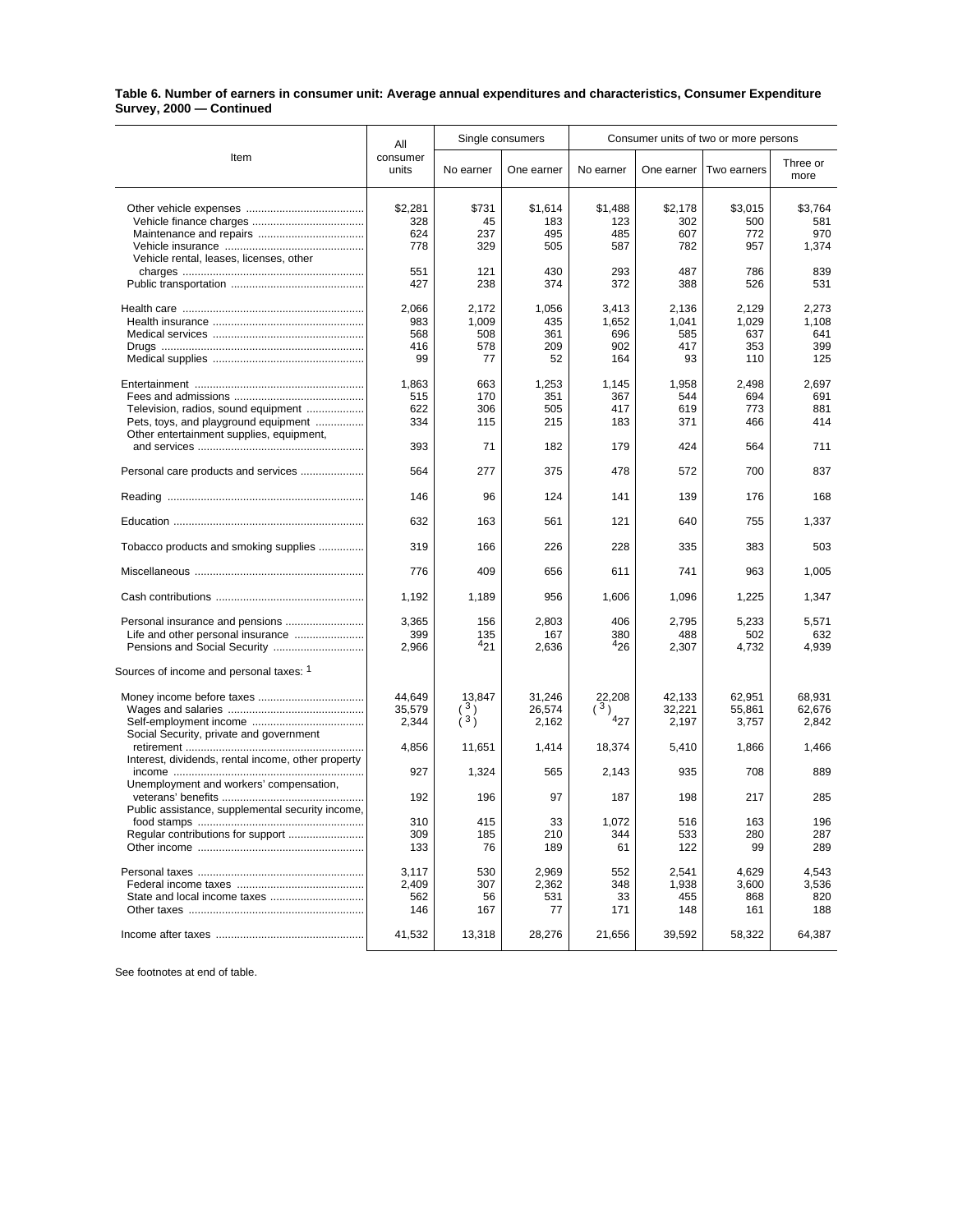## **Table 6. Number of earners in consumer unit: Average annual expenditures and characteristics, Consumer Expenditure Survey, 2000 — Continued**

| Item                                                                                                                    | All                              | Single consumers                   |                                  | Consumer units of two or more persons |                                    |                                     |                                     |
|-------------------------------------------------------------------------------------------------------------------------|----------------------------------|------------------------------------|----------------------------------|---------------------------------------|------------------------------------|-------------------------------------|-------------------------------------|
|                                                                                                                         | consumer<br>units                | No earner                          | One earner                       | No earner                             | One earner                         | Two earners                         | Three or<br>more                    |
|                                                                                                                         | \$2,281<br>328<br>624<br>778     | \$731<br>45<br>237<br>329          | \$1,614<br>183<br>495<br>505     | \$1,488<br>123<br>485<br>587          | \$2,178<br>302<br>607<br>782       | \$3,015<br>500<br>772<br>957        | \$3,764<br>581<br>970<br>1,374      |
| Vehicle rental, leases, licenses, other                                                                                 | 551<br>427                       | 121<br>238                         | 430<br>374                       | 293<br>372                            | 487<br>388                         | 786<br>526                          | 839<br>531                          |
|                                                                                                                         | 2,066<br>983<br>568<br>416<br>99 | 2,172<br>1,009<br>508<br>578<br>77 | 1,056<br>435<br>361<br>209<br>52 | 3,413<br>1,652<br>696<br>902<br>164   | 2,136<br>1,041<br>585<br>417<br>93 | 2.129<br>1,029<br>637<br>353<br>110 | 2,273<br>1,108<br>641<br>399<br>125 |
| Television, radios, sound equipment<br>Pets, toys, and playground equipment<br>Other entertainment supplies, equipment, | 1,863<br>515<br>622<br>334       | 663<br>170<br>306<br>115           | 1,253<br>351<br>505<br>215       | 1,145<br>367<br>417<br>183            | 1,958<br>544<br>619<br>371         | 2,498<br>694<br>773<br>466          | 2,697<br>691<br>881<br>414          |
|                                                                                                                         | 393                              | 71                                 | 182                              | 179                                   | 424                                | 564                                 | 711                                 |
| Personal care products and services                                                                                     | 564                              | 277                                | 375                              | 478                                   | 572                                | 700                                 | 837                                 |
|                                                                                                                         | 146                              | 96                                 | 124                              | 141                                   | 139                                | 176                                 | 168                                 |
|                                                                                                                         | 632                              | 163                                | 561                              | 121                                   | 640                                | 755                                 | 1,337                               |
| Tobacco products and smoking supplies                                                                                   | 319                              | 166                                | 226                              | 228                                   | 335                                | 383                                 | 503                                 |
|                                                                                                                         | 776                              | 409                                | 656                              | 611                                   | 741                                | 963                                 | 1.005                               |
|                                                                                                                         | 1,192                            | 1,189                              | 956                              | 1,606                                 | 1,096                              | 1,225                               | 1,347                               |
| Personal insurance and pensions                                                                                         | 3,365<br>399<br>2,966            | 156<br>135<br>421                  | 2,803<br>167<br>2,636            | 406<br>380<br>426                     | 2,795<br>488<br>2,307              | 5,233<br>502<br>4,732               | 5,571<br>632<br>4,939               |
| Sources of income and personal taxes: 1                                                                                 |                                  |                                    |                                  |                                       |                                    |                                     |                                     |
| Social Security, private and government                                                                                 | 44,649<br>35,579<br>2,344        | 13,847<br>$\binom{3}{3}$           | 31,246<br>26,574<br>2,162        | 22,208<br>(3)<br>427                  | 42,133<br>32,221<br>2,197          | 62,951<br>55,861<br>3,757           | 68,931<br>62,676<br>2,842           |
|                                                                                                                         | 4,856                            | 11,651                             | 1,414                            | 18,374                                | 5,410                              | 1,866                               | 1,466                               |
| Interest, dividends, rental income, other property                                                                      | 927                              | 1,324                              | 565                              | 2,143                                 | 935                                | 708                                 | 889                                 |
| Unemployment and workers' compensation,                                                                                 | 192                              | 196                                | 97                               | 187                                   | 198                                | 217                                 | 285                                 |
| Public assistance, supplemental security income,                                                                        | 310<br>309<br>133                | 415<br>185<br>76                   | 33<br>210<br>189                 | 1,072<br>344<br>61                    | 516<br>533<br>122                  | 163<br>280<br>99                    | 196<br>287<br>289                   |
|                                                                                                                         | 3,117<br>2,409<br>562<br>146     | 530<br>307<br>56<br>167            | 2,969<br>2,362<br>531<br>77      | 552<br>348<br>33<br>171               | 2,541<br>1,938<br>455<br>148       | 4,629<br>3,600<br>868<br>161        | 4,543<br>3,536<br>820<br>188        |
|                                                                                                                         | 41,532                           | 13,318                             | 28,276                           | 21,656                                | 39,592                             | 58,322                              | 64,387                              |

See footnotes at end of table.